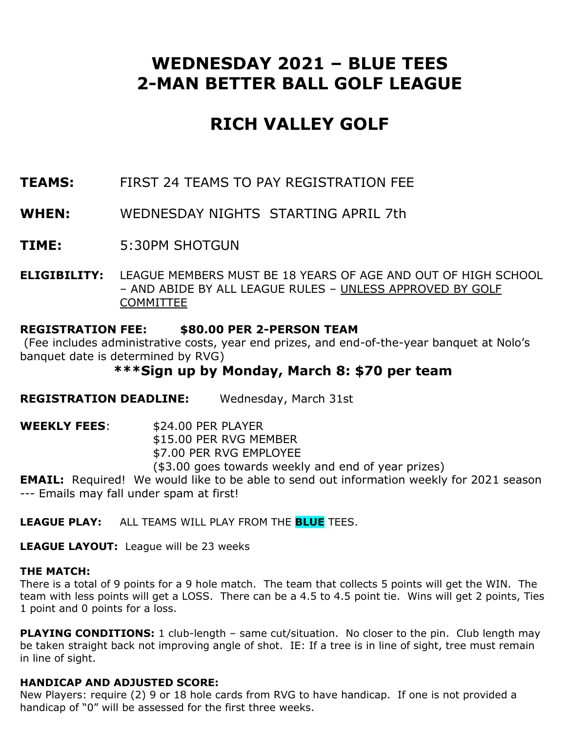## **WEDNESDAY 2021 – BLUE TEES 2-MAN BETTER BALL GOLF LEAGUE**

# **RICH VALLEY GOLF**

- **TEAMS:** FIRST 24 TEAMS TO PAY REGISTRATION FEE
- **WHEN:** WEDNESDAY NIGHTS STARTING APRIL 7th
- **TIME:** 5:30PM SHOTGUN
- **ELIGIBILITY:** LEAGUE MEMBERS MUST BE 18 YEARS OF AGE AND OUT OF HIGH SCHOOL – AND ABIDE BY ALL LEAGUE RULES – UNLESS APPROVED BY GOLF **COMMITTEE**

#### **REGISTRATION FEE: \$80.00 PER 2-PERSON TEAM**

(Fee includes administrative costs, year end prizes, and end-of-the-year banquet at Nolo's banquet date is determined by RVG)

### **\*\*\*Sign up by Monday, March 8: \$70 per team**

**REGISTRATION DEADLINE:** Wednesday, March 31st

**WEEKLY FEES:** \$24.00 PER PLAYER \$15.00 PER RVG MEMBER \$7.00 PER RVG EMPLOYEE (\$3.00 goes towards weekly and end of year prizes)

**EMAIL:** Required! We would like to be able to send out information weekly for 2021 season --- Emails may fall under spam at first!

**LEAGUE PLAY:** ALL TEAMS WILL PLAY FROM THE **BLUE** TEES.

**LEAGUE LAYOUT:** League will be 23 weeks

#### **THE MATCH:**

There is a total of 9 points for a 9 hole match. The team that collects 5 points will get the WIN. The team with less points will get a LOSS. There can be a 4.5 to 4.5 point tie. Wins will get 2 points, Ties 1 point and 0 points for a loss.

**PLAYING CONDITIONS:** 1 club-length – same cut/situation. No closer to the pin. Club length may be taken straight back not improving angle of shot. IE: If a tree is in line of sight, tree must remain in line of sight.

#### **HANDICAP AND ADJUSTED SCORE:**

New Players: require (2) 9 or 18 hole cards from RVG to have handicap. If one is not provided a handicap of "0" will be assessed for the first three weeks.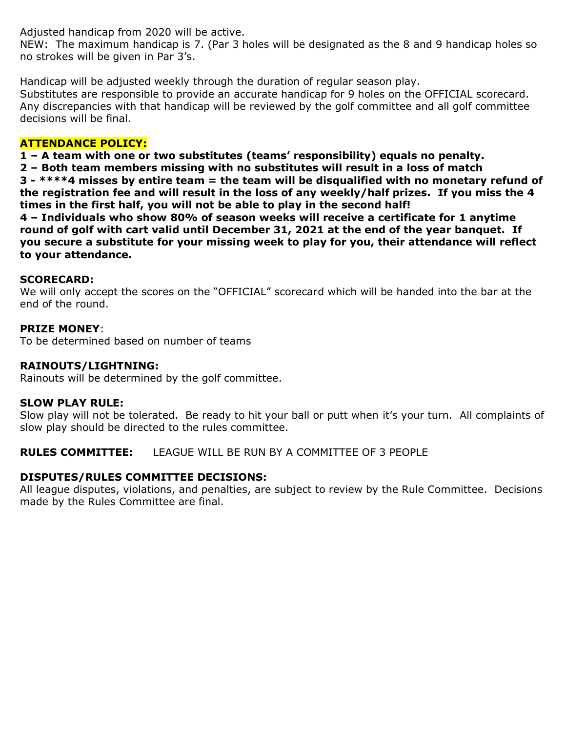Adjusted handicap from 2020 will be active.

NEW: The maximum handicap is 7. (Par 3 holes will be designated as the 8 and 9 handicap holes so no strokes will be given in Par 3's.

Handicap will be adjusted weekly through the duration of regular season play. Substitutes are responsible to provide an accurate handicap for 9 holes on the OFFICIAL scorecard. Any discrepancies with that handicap will be reviewed by the golf committee and all golf committee decisions will be final.

#### **ATTENDANCE POLICY:**

**1 – A team with one or two substitutes (teams' responsibility) equals no penalty.**

**2 – Both team members missing with no substitutes will result in a loss of match**

**3 - \*\*\*\*4 misses by entire team = the team will be disqualified with no monetary refund of the registration fee and will result in the loss of any weekly/half prizes. If you miss the 4 times in the first half, you will not be able to play in the second half!**

**4 – Individuals who show 80% of season weeks will receive a certificate for 1 anytime round of golf with cart valid until December 31, 2021 at the end of the year banquet. If you secure a substitute for your missing week to play for you, their attendance will reflect to your attendance.** 

#### **SCORECARD:**

We will only accept the scores on the "OFFICIAL" scorecard which will be handed into the bar at the end of the round.

#### **PRIZE MONEY**:

To be determined based on number of teams

#### **RAINOUTS/LIGHTNING:**

Rainouts will be determined by the golf committee.

#### **SLOW PLAY RULE:**

Slow play will not be tolerated. Be ready to hit your ball or putt when it's your turn. All complaints of slow play should be directed to the rules committee.

**RULES COMMITTEE:** LEAGUE WILL BE RUN BY A COMMITTEE OF 3 PEOPLE

#### **DISPUTES/RULES COMMITTEE DECISIONS:**

All league disputes, violations, and penalties, are subject to review by the Rule Committee. Decisions made by the Rules Committee are final.